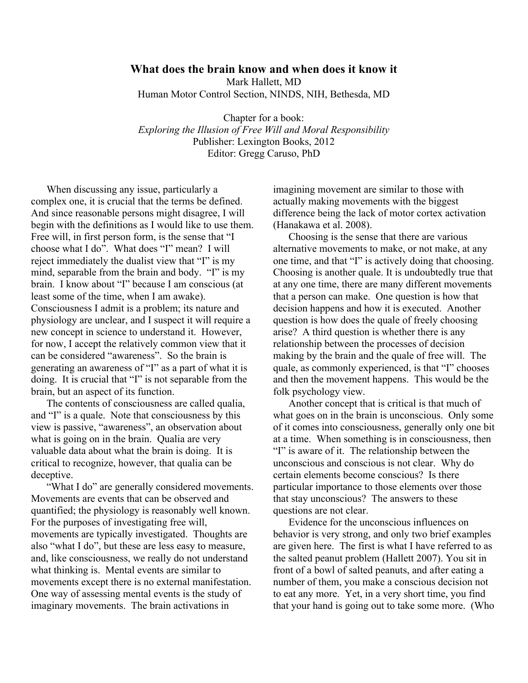# **What does the brain know and when does it know it** Mark Hallett, MD Human Motor Control Section, NINDS, NIH, Bethesda, MD

Chapter for a book: *Exploring the Illusion of Free Will and Moral Responsibility* Publisher: Lexington Books, 2012 Editor: Gregg Caruso, PhD

When discussing any issue, particularly a complex one, it is crucial that the terms be defined. And since reasonable persons might disagree, I will begin with the definitions as I would like to use them. Free will, in first person form, is the sense that "I choose what I do". What does "I" mean? I will reject immediately the dualist view that "I" is my mind, separable from the brain and body. "I" is my brain. I know about "I" because I am conscious (at least some of the time, when I am awake). Consciousness I admit is a problem; its nature and physiology are unclear, and I suspect it will require a new concept in science to understand it. However, for now, I accept the relatively common view that it can be considered "awareness". So the brain is generating an awareness of "I" as a part of what it is doing. It is crucial that "I" is not separable from the brain, but an aspect of its function.

The contents of consciousness are called qualia, and "I" is a quale. Note that consciousness by this view is passive, "awareness", an observation about what is going on in the brain. Qualia are very valuable data about what the brain is doing. It is critical to recognize, however, that qualia can be deceptive.

"What I do" are generally considered movements. Movements are events that can be observed and quantified; the physiology is reasonably well known. For the purposes of investigating free will, movements are typically investigated. Thoughts are also "what I do", but these are less easy to measure, and, like consciousness, we really do not understand what thinking is. Mental events are similar to movements except there is no external manifestation. One way of assessing mental events is the study of imaginary movements. The brain activations in

imagining movement are similar to those with actually making movements with the biggest difference being the lack of motor cortex activation (Hanakawa et al. 2008).

Choosing is the sense that there are various alternative movements to make, or not make, at any one time, and that "I" is actively doing that choosing. Choosing is another quale. It is undoubtedly true that at any one time, there are many different movements that a person can make. One question is how that decision happens and how it is executed. Another question is how does the quale of freely choosing arise? A third question is whether there is any relationship between the processes of decision making by the brain and the quale of free will. The quale, as commonly experienced, is that "I" chooses and then the movement happens. This would be the folk psychology view.

Another concept that is critical is that much of what goes on in the brain is unconscious. Only some of it comes into consciousness, generally only one bit at a time. When something is in consciousness, then "I" is aware of it. The relationship between the unconscious and conscious is not clear. Why do certain elements become conscious? Is there particular importance to those elements over those that stay unconscious? The answers to these questions are not clear.

Evidence for the unconscious influences on behavior is very strong, and only two brief examples are given here. The first is what I have referred to as the salted peanut problem (Hallett 2007). You sit in front of a bowl of salted peanuts, and after eating a number of them, you make a conscious decision not to eat any more. Yet, in a very short time, you find that your hand is going out to take some more. (Who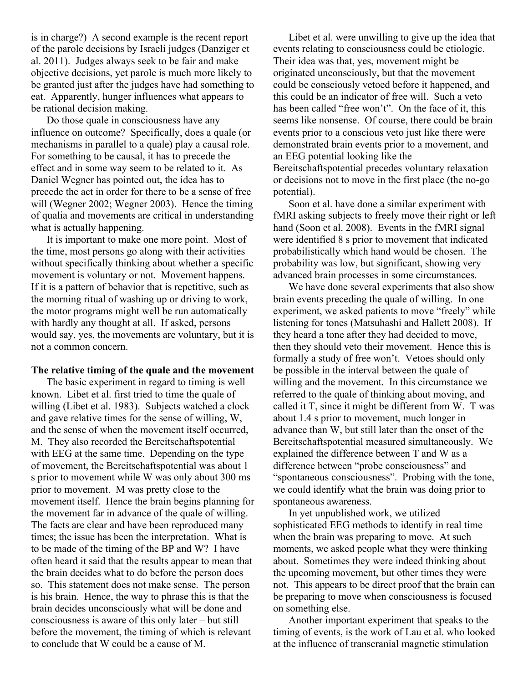is in charge?) A second example is the recent report of the parole decisions by Israeli judges (Danziger et al. 2011). Judges always seek to be fair and make objective decisions, yet parole is much more likely to be granted just after the judges have had something to eat. Apparently, hunger influences what appears to be rational decision making.

Do those quale in consciousness have any influence on outcome? Specifically, does a quale (or mechanisms in parallel to a quale) play a causal role. For something to be causal, it has to precede the effect and in some way seem to be related to it. As Daniel Wegner has pointed out, the idea has to precede the act in order for there to be a sense of free will (Wegner 2002; Wegner 2003). Hence the timing of qualia and movements are critical in understanding what is actually happening.

It is important to make one more point. Most of the time, most persons go along with their activities without specifically thinking about whether a specific movement is voluntary or not. Movement happens. If it is a pattern of behavior that is repetitive, such as the morning ritual of washing up or driving to work, the motor programs might well be run automatically with hardly any thought at all. If asked, persons would say, yes, the movements are voluntary, but it is not a common concern.

#### **The relative timing of the quale and the movement**

The basic experiment in regard to timing is well known. Libet et al. first tried to time the quale of willing (Libet et al. 1983). Subjects watched a clock and gave relative times for the sense of willing, W, and the sense of when the movement itself occurred, M. They also recorded the Bereitschaftspotential with EEG at the same time. Depending on the type of movement, the Bereitschaftspotential was about 1 s prior to movement while W was only about 300 ms prior to movement. M was pretty close to the movement itself. Hence the brain begins planning for the movement far in advance of the quale of willing. The facts are clear and have been reproduced many times; the issue has been the interpretation. What is to be made of the timing of the BP and W? I have often heard it said that the results appear to mean that the brain decides what to do before the person does so. This statement does not make sense. The person is his brain. Hence, the way to phrase this is that the brain decides unconsciously what will be done and consciousness is aware of this only later – but still before the movement, the timing of which is relevant to conclude that W could be a cause of M.

Libet et al. were unwilling to give up the idea that events relating to consciousness could be etiologic. Their idea was that, yes, movement might be originated unconsciously, but that the movement could be consciously vetoed before it happened, and this could be an indicator of free will. Such a veto has been called "free won't". On the face of it, this seems like nonsense. Of course, there could be brain events prior to a conscious veto just like there were demonstrated brain events prior to a movement, and an EEG potential looking like the Bereitschaftspotential precedes voluntary relaxation or decisions not to move in the first place (the no-go potential).

Soon et al. have done a similar experiment with fMRI asking subjects to freely move their right or left hand (Soon et al. 2008). Events in the fMRI signal were identified 8 s prior to movement that indicated probabilistically which hand would be chosen. The probability was low, but significant, showing very advanced brain processes in some circumstances.

We have done several experiments that also show brain events preceding the quale of willing. In one experiment, we asked patients to move "freely" while listening for tones (Matsuhashi and Hallett 2008). If they heard a tone after they had decided to move, then they should veto their movement. Hence this is formally a study of free won't. Vetoes should only be possible in the interval between the quale of willing and the movement. In this circumstance we referred to the quale of thinking about moving, and called it T, since it might be different from W. T was about 1.4 s prior to movement, much longer in advance than W, but still later than the onset of the Bereitschaftspotential measured simultaneously. We explained the difference between T and W as a difference between "probe consciousness" and "spontaneous consciousness". Probing with the tone, we could identify what the brain was doing prior to spontaneous awareness.

In yet unpublished work, we utilized sophisticated EEG methods to identify in real time when the brain was preparing to move. At such moments, we asked people what they were thinking about. Sometimes they were indeed thinking about the upcoming movement, but other times they were not. This appears to be direct proof that the brain can be preparing to move when consciousness is focused on something else.

Another important experiment that speaks to the timing of events, is the work of Lau et al. who looked at the influence of transcranial magnetic stimulation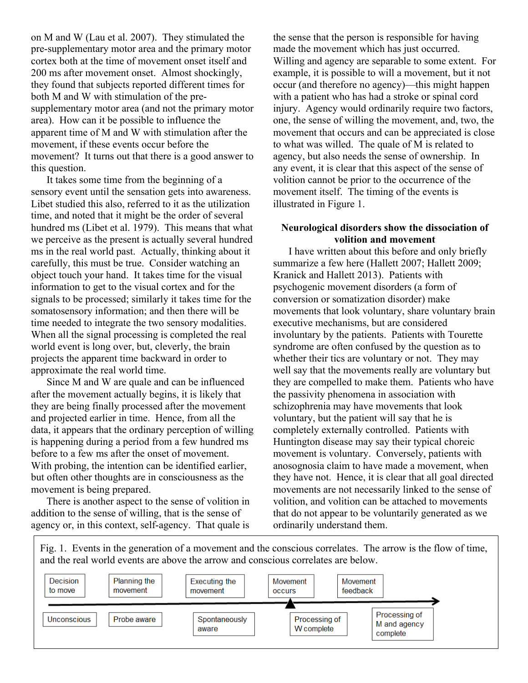on M and W (Lau et al. 2007). They stimulated the pre-supplementary motor area and the primary motor cortex both at the time of movement onset itself and 200 ms after movement onset. Almost shockingly, they found that subjects reported different times for both M and W with stimulation of the presupplementary motor area (and not the primary motor area). How can it be possible to influence the apparent time of M and W with stimulation after the movement, if these events occur before the movement? It turns out that there is a good answer to this question.

It takes some time from the beginning of a sensory event until the sensation gets into awareness. Libet studied this also, referred to it as the utilization time, and noted that it might be the order of several hundred ms (Libet et al. 1979). This means that what we perceive as the present is actually several hundred ms in the real world past. Actually, thinking about it carefully, this must be true. Consider watching an object touch your hand. It takes time for the visual information to get to the visual cortex and for the signals to be processed; similarly it takes time for the somatosensory information; and then there will be time needed to integrate the two sensory modalities. When all the signal processing is completed the real world event is long over, but, cleverly, the brain projects the apparent time backward in order to approximate the real world time.

Since M and W are quale and can be influenced after the movement actually begins, it is likely that they are being finally processed after the movement and projected earlier in time. Hence, from all the data, it appears that the ordinary perception of willing is happening during a period from a few hundred ms before to a few ms after the onset of movement. With probing, the intention can be identified earlier, but often other thoughts are in consciousness as the movement is being prepared.

There is another aspect to the sense of volition in addition to the sense of willing, that is the sense of agency or, in this context, self-agency. That quale is the sense that the person is responsible for having made the movement which has just occurred. Willing and agency are separable to some extent. For example, it is possible to will a movement, but it not occur (and therefore no agency)—this might happen with a patient who has had a stroke or spinal cord injury. Agency would ordinarily require two factors, one, the sense of willing the movement, and, two, the movement that occurs and can be appreciated is close to what was willed. The quale of M is related to agency, but also needs the sense of ownership. In any event, it is clear that this aspect of the sense of volition cannot be prior to the occurrence of the movement itself. The timing of the events is illustrated in Figure 1.

### **Neurological disorders show the dissociation of volition and movement**

I have written about this before and only briefly summarize a few here (Hallett 2007; Hallett 2009; Kranick and Hallett 2013). Patients with psychogenic movement disorders (a form of conversion or somatization disorder) make movements that look voluntary, share voluntary brain executive mechanisms, but are considered involuntary by the patients. Patients with Tourette syndrome are often confused by the question as to whether their tics are voluntary or not. They may well say that the movements really are voluntary but they are compelled to make them. Patients who have the passivity phenomena in association with schizophrenia may have movements that look voluntary, but the patient will say that he is completely externally controlled. Patients with Huntington disease may say their typical choreic movement is voluntary. Conversely, patients with anosognosia claim to have made a movement, when they have not. Hence, it is clear that all goal directed movements are not necessarily linked to the sense of volition, and volition can be attached to movements that do not appear to be voluntarily generated as we ordinarily understand them.

Fig. 1. Events in the generation of a movement and the conscious correlates. The arrow is the flow of time, and the real world events are above the arrow and conscious correlates are below.

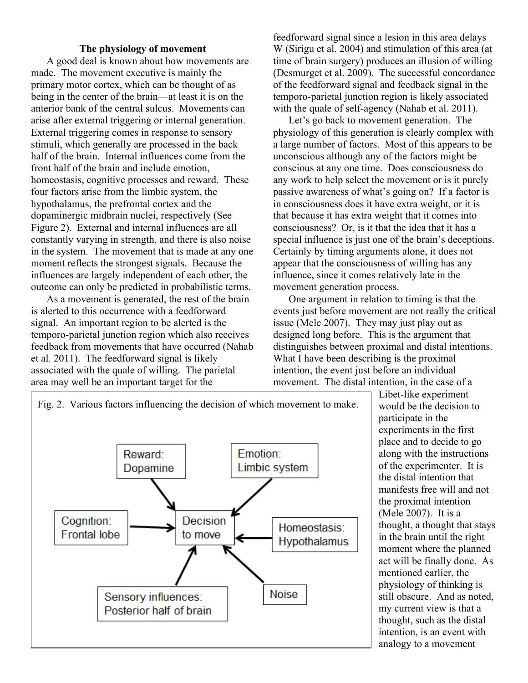### **The physiology of movement**

A good deal is known about how movements are made. The movement executive is mainly the primary motor cortex, which can be thought of as being in the center of the brain—at least it is on the anterior bank of the central sulcus. Movements can arise after external triggering or internal generation. External triggering comes in response to sensory stimuli, which generally are processed in the back half of the brain. Internal influences come from the front half of the brain and include emotion, homeostasis, cognitive processes and reward. These four factors arise from the limbic system, the hypothalamus, the prefrontal cortex and the dopaminergic midbrain nuclei, respectively (See Figure 2). External and internal influences are all constantly varying in strength, and there is also noise in the system. The movement that is made at any one moment reflects the strongest signals. Because the influences are largely independent of each other, the outcome can only be predicted in probabilistic terms.

As a movement is generated, the rest of the brain is alerted to this occurrence with a feedforward signal. An important region to be alerted is the temporo-parietal junction region which also receives feedback from movements that have occurred (Nahab et al. 2011). The feedforward signal is likely associated with the quale of willing. The parietal area may well be an important target for the

feedforward signal since a lesion in this area delays W (Sirigu et al. 2004) and stimulation of this area (at time of brain surgery) produces an illusion of willing (Desmurget et al. 2009). The successful concordance of the feedforward signal and feedback signal in the temporo-parietal junction region is likely associated with the quale of self-agency (Nahab et al. 2011).

Let's go back to movement generation. The physiology of this generation is clearly complex with a large number of factors. Most of this appears to be unconscious although any of the factors might be conscious at any one time. Does consciousness do any work to help select the movement or is it purely passive awareness of what's going on? If a factor is in consciousness does it have extra weight, or it is that because it has extra weight that it comes into consciousness? Or, is it that the idea that it has a special influence is just one of the brain's deceptions. Certainly by timing arguments alone, it does not appear that the consciousness of willing has any influence, since it comes relatively late in the movement generation process.

One argument in relation to timing is that the events just before movement are not really the critical issue (Mele 2007). They may just play out as designed long before. This is the argument that distinguishes between proximal and distal intentions. What I have been describing is the proximal intention, the event just before an individual movement. The distal intention, in the case of a



Libet-like experiment would be the decision to participate in the experiments in the first place and to decide to go along with the instructions of the experimenter. It is the distal intention that manifests free will and not the proximal intention (Mele 2007). It is a thought, a thought that stays in the brain until the right moment where the planned act will be finally done. As mentioned earlier, the physiology of thinking is still obscure. And as noted, my current view is that a thought, such as the distal intention, is an event with analogy to a movement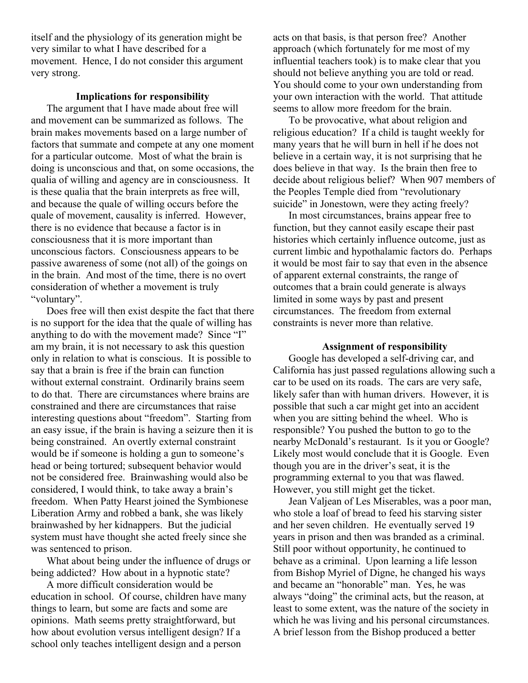itself and the physiology of its generation might be very similar to what I have described for a movement. Hence, I do not consider this argument very strong.

## **Implications for responsibility**

The argument that I have made about free will and movement can be summarized as follows. The brain makes movements based on a large number of factors that summate and compete at any one moment for a particular outcome. Most of what the brain is doing is unconscious and that, on some occasions, the qualia of willing and agency are in consciousness. It is these qualia that the brain interprets as free will, and because the quale of willing occurs before the quale of movement, causality is inferred. However, there is no evidence that because a factor is in consciousness that it is more important than unconscious factors. Consciousness appears to be passive awareness of some (not all) of the goings on in the brain. And most of the time, there is no overt consideration of whether a movement is truly "voluntary".

Does free will then exist despite the fact that there is no support for the idea that the quale of willing has anything to do with the movement made? Since "I" am my brain, it is not necessary to ask this question only in relation to what is conscious. It is possible to say that a brain is free if the brain can function without external constraint. Ordinarily brains seem to do that. There are circumstances where brains are constrained and there are circumstances that raise interesting questions about "freedom". Starting from an easy issue, if the brain is having a seizure then it is being constrained. An overtly external constraint would be if someone is holding a gun to someone's head or being tortured; subsequent behavior would not be considered free. Brainwashing would also be considered, I would think, to take away a brain's freedom. When Patty Hearst joined the Symbionese Liberation Army and robbed a bank, she was likely brainwashed by her kidnappers. But the judicial system must have thought she acted freely since she was sentenced to prison.

What about being under the influence of drugs or being addicted? How about in a hypnotic state?

A more difficult consideration would be education in school. Of course, children have many things to learn, but some are facts and some are opinions. Math seems pretty straightforward, but how about evolution versus intelligent design? If a school only teaches intelligent design and a person

acts on that basis, is that person free? Another approach (which fortunately for me most of my influential teachers took) is to make clear that you should not believe anything you are told or read. You should come to your own understanding from your own interaction with the world. That attitude seems to allow more freedom for the brain.

To be provocative, what about religion and religious education? If a child is taught weekly for many years that he will burn in hell if he does not believe in a certain way, it is not surprising that he does believe in that way. Is the brain then free to decide about religious belief? When 907 members of the Peoples Temple died from "revolutionary suicide" in Jonestown, were they acting freely?

In most circumstances, brains appear free to function, but they cannot easily escape their past histories which certainly influence outcome, just as current limbic and hypothalamic factors do. Perhaps it would be most fair to say that even in the absence of apparent external constraints, the range of outcomes that a brain could generate is always limited in some ways by past and present circumstances. The freedom from external constraints is never more than relative.

#### **Assignment of responsibility**

Google has developed a self-driving car, and California has just passed regulations allowing such a car to be used on its roads. The cars are very safe, likely safer than with human drivers. However, it is possible that such a car might get into an accident when you are sitting behind the wheel. Who is responsible? You pushed the button to go to the nearby McDonald's restaurant. Is it you or Google? Likely most would conclude that it is Google. Even though you are in the driver's seat, it is the programming external to you that was flawed. However, you still might get the ticket.

Jean Valjean of Les Miserables, was a poor man, who stole a loaf of bread to feed his starving sister and her seven children. He eventually served 19 years in prison and then was branded as a criminal. Still poor without opportunity, he continued to behave as a criminal. Upon learning a life lesson from Bishop Myriel of Digne, he changed his ways and became an "honorable" man. Yes, he was always "doing" the criminal acts, but the reason, at least to some extent, was the nature of the society in which he was living and his personal circumstances. A brief lesson from the Bishop produced a better